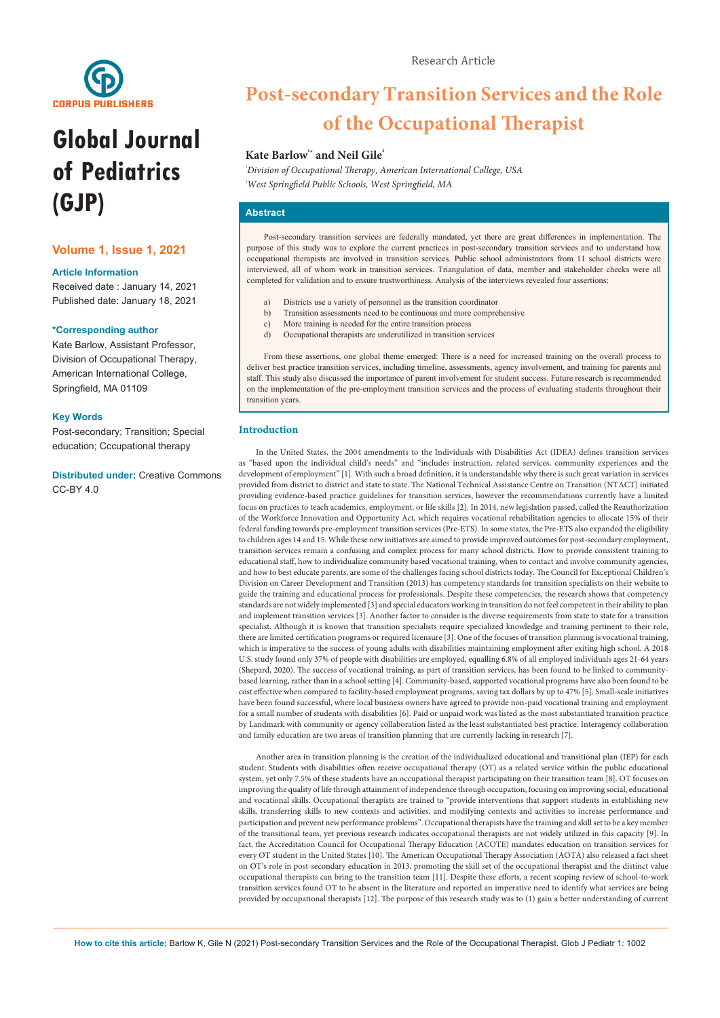

# **Global Journal of Pediatrics (GJP)**

## **Volume 1, Issue 1, 2021**

## **Article Information**

Received date : January 14, 2021 Published date: January 18, 2021

## **\*Corresponding author**

Kate Barlow, Assistant Professor, Division of Occupational Therapy, American International College, Springfield, MA 01109

## **Key Words**

Post-secondary; Transition; Special education; Cccupational therapy

**Distributed under:** [Creative Commons](https://creativecommons.org/licenses/by/4.0/)  [CC-BY 4.0](https://creativecommons.org/licenses/by/4.0/)

## **Post-secondary Transition Services and the Role of the Occupational Therapist**

## Kate Barlow<sup>\*</sup> and Neil Gile<sup>2</sup>

*¹ Division of Occupational Therapy, American International College, USA ² West Springfield Public Schools, West Springfield, MA*

## **Abstract**

Post-secondary transition services are federally mandated, yet there are great differences in implementation. The purpose of this study was to explore the current practices in post-secondary transition services and to understand how occupational therapists are involved in transition services. Public school administrators from 11 school districts were interviewed, all of whom work in transition services. Triangulation of data, member and stakeholder checks were all completed for validation and to ensure trustworthiness. Analysis of the interviews revealed four assertions:

- a) Districts use a variety of personnel as the transition coordinator<br>b) Transition assessments need to be continuous and more compre
- b) Transition assessments need to be continuous and more comprehensive
- $\overrightarrow{c}$  More training is needed for the entire transition process
- d) Occupational therapists are underutilized in transition services

From these assertions, one global theme emerged: There is a need for increased training on the overall process to deliver best practice transition services, including timeline, assessments, agency involvement, and training for parents and staff. This study also discussed the importance of parent involvement for student success. Future research is recommended on the implementation of the pre-employment transition services and the process of evaluating students throughout their transition years.

#### **Introduction**

In the United States, the 2004 amendments to the Individuals with Disabilities Act (IDEA) defines transition services as "based upon the individual child's needs" and "includes instruction, related services, community experiences and the development of employment" [1]. With such a broad definition, it is understandable why there is such great variation in services provided from district to district and state to state. The National Technical Assistance Centre on Transition (NTACT) initiated providing evidence-based practice guidelines for transition services, however the recommendations currently have a limited focus on practices to teach academics, employment, or life skills [2]. In 2014, new legislation passed, called the Reauthorization of the Workforce Innovation and Opportunity Act, which requires vocational rehabilitation agencies to allocate 15% of their federal funding towards pre-employment transition services (Pre-ETS). In some states, the Pre-ETS also expanded the eligibility to children ages 14 and 15. While these new initiatives are aimed to provide improved outcomes for post-secondary employment, transition services remain a confusing and complex process for many school districts. How to provide consistent training to educational staff, how to individualize community based vocational training, when to contact and involve community agencies, and how to best educate parents, are some of the challenges facing school districts today. The Council for Exceptional Children's Division on Career Development and Transition (2013) has competency standards for transition specialists on their website to guide the training and educational process for professionals. Despite these competencies, the research shows that competency standards are not widely implemented [3] and special educators working in transition do not feel competent in their ability to plan and implement transition services [3]. Another factor to consider is the diverse requirements from state to state for a transition specialist. Although it is known that transition specialists require specialized knowledge and training pertinent to their role, there are limited certification programs or required licensure [3]. One of the focuses of transition planning is vocational training, which is imperative to the success of young adults with disabilities maintaining employment after exiting high school. A 2018 U.S. study found only 37% of people with disabilities are employed, equalling 6.8% of all employed individuals ages 21-64 years (Shepard, 2020). The success of vocational training, as part of transition services, has been found to be linked to communitybased learning, rather than in a school setting [4]. Community-based, supported vocational programs have also been found to be cost effective when compared to facility-based employment programs, saving tax dollars by up to 47% [5]. Small-scale initiatives have been found successful, where local business owners have agreed to provide non-paid vocational training and employment for a small number of students with disabilities [6]. Paid or unpaid work was listed as the most substantiated transition practice by Landmark with community or agency collaboration listed as the least substantiated best practice. Interagency collaboration and family education are two areas of transition planning that are currently lacking in research [7].

Another area in transition planning is the creation of the individualized educational and transitional plan (IEP) for each student. Students with disabilities often receive occupational therapy (OT) as a related service within the public educational system, yet only 7.5% of these students have an occupational therapist participating on their transition team [8]. OT focuses on improving the quality of life through attainment of independence through occupation, focusing on improving social, educational and vocational skills. Occupational therapists are trained to "provide interventions that support students in establishing new skills, transferring skills to new contexts and activities, and modifying contexts and activities to increase performance and participation and prevent new performance problems". Occupational therapists have the training and skill set to be a key member of the transitional team, yet previous research indicates occupational therapists are not widely utilized in this capacity [9]. In fact, the Accreditation Council for Occupational Therapy Education (ACOTE) mandates education on transition services for every OT student in the United States [10]. The American Occupational Therapy Association (AOTA) also released a fact sheet on OT's role in post-secondary education in 2013, promoting the skill set of the occupational therapist and the distinct value occupational therapists can bring to the transition team [11]. Despite these efforts, a recent scoping review of school-to-work transition services found OT to be absent in the literature and reported an imperative need to identify what services are being provided by occupational therapists [12]. The purpose of this research study was to (1) gain a better understanding of current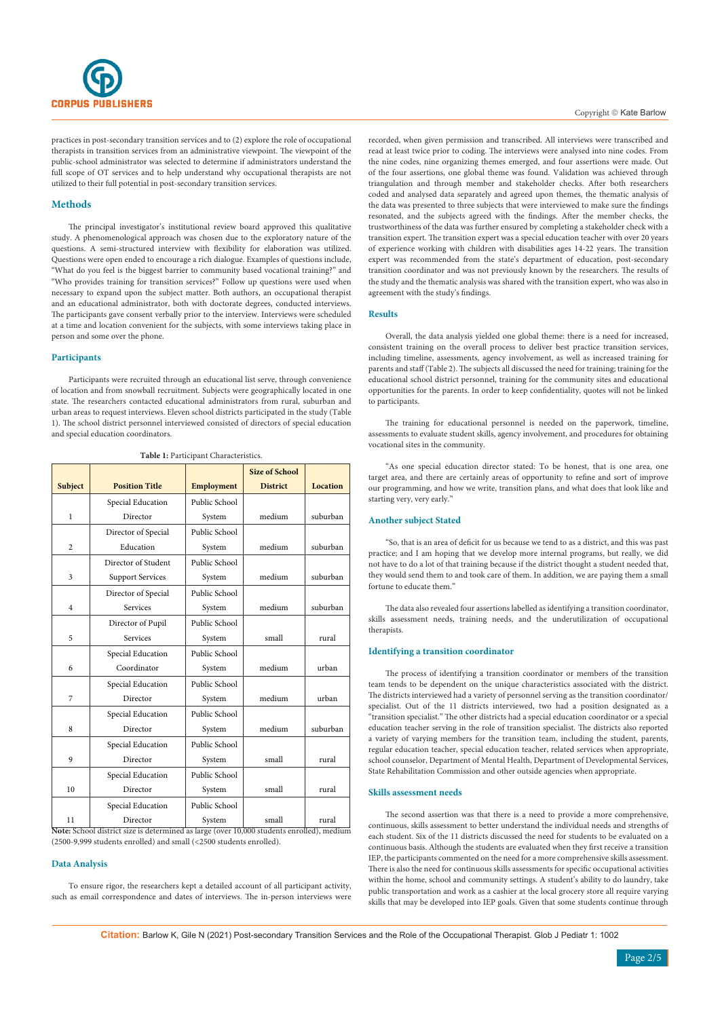

practices in post-secondary transition services and to (2) explore the role of occupational therapists in transition services from an administrative viewpoint. The viewpoint of the public-school administrator was selected to determine if administrators understand the full scope of OT services and to help understand why occupational therapists are not utilized to their full potential in post-secondary transition services.

## **Methods**

The principal investigator's institutional review board approved this qualitative study. A phenomenological approach was chosen due to the exploratory nature of the questions. A semi-structured interview with flexibility for elaboration was utilized. Questions were open ended to encourage a rich dialogue. Examples of questions include, "What do you feel is the biggest barrier to community based vocational training?" and "Who provides training for transition services?" Follow up questions were used when necessary to expand upon the subject matter. Both authors, an occupational therapist and an educational administrator, both with doctorate degrees, conducted interviews. The participants gave consent verbally prior to the interview. Interviews were scheduled at a time and location convenient for the subjects, with some interviews taking place in person and some over the phone.

#### **Participants**

Participants were recruited through an educational list serve, through convenience of location and from snowball recruitment. Subjects were geographically located in one state. The researchers contacted educational administrators from rural, suburban and urban areas to request interviews. Eleven school districts participated in the study (Table 1). The school district personnel interviewed consisted of directors of special education and special education coordinators.

|                |                                                                                                       |                   | <b>Size of School</b> |                 |
|----------------|-------------------------------------------------------------------------------------------------------|-------------------|-----------------------|-----------------|
| Subject        | <b>Position Title</b>                                                                                 | <b>Employment</b> | <b>District</b>       | <b>Location</b> |
|                | Special Education                                                                                     | Public School     |                       |                 |
| $\mathbf{1}$   | Director                                                                                              | System            | medium                | suburban        |
|                | Director of Special                                                                                   | Public School     |                       |                 |
| $\overline{c}$ | Education                                                                                             | System            | medium                | suburban        |
|                | Director of Student                                                                                   | Public School     |                       |                 |
| 3              | <b>Support Services</b>                                                                               | System            | medium                | suburban        |
|                | Director of Special                                                                                   | Public School     |                       |                 |
| 4              | Services                                                                                              | System            | medium                | suburban        |
|                | Director of Pupil                                                                                     | Public School     |                       |                 |
| 5              | Services                                                                                              | System            | small                 | rural           |
|                | Special Education                                                                                     | Public School     |                       |                 |
| 6              | Coordinator                                                                                           | System            | medium                | urban           |
|                | Special Education                                                                                     | Public School     |                       |                 |
| 7              | Director                                                                                              | System            | medium                | urban           |
|                | Special Education                                                                                     | Public School     |                       |                 |
| 8              | Director                                                                                              | System            | medium                | suburban        |
|                | Special Education                                                                                     | Public School     |                       |                 |
| 9              | Director                                                                                              | System            | small                 | rural           |
|                | Special Education                                                                                     | Public School     |                       |                 |
| 10             | Director                                                                                              | System            | small                 | rural           |
|                | Special Education                                                                                     | Public School     |                       |                 |
| 11             | Director<br>Note: School district size is determined as large (over 10,000 students enrolled), medium | System            | small                 | rural           |

**Table 1:** Participant Characteristics.

(2500-9,999 students enrolled) and small (<2500 students enrolled).

## **Data Analysis**

To ensure rigor, the researchers kept a detailed account of all participant activity, such as email correspondence and dates of interviews. The in-person interviews were recorded, when given permission and transcribed. All interviews were transcribed and read at least twice prior to coding. The interviews were analysed into nine codes. From the nine codes, nine organizing themes emerged, and four assertions were made. Out of the four assertions, one global theme was found. Validation was achieved through triangulation and through member and stakeholder checks. After both researchers coded and analysed data separately and agreed upon themes, the thematic analysis of the data was presented to three subjects that were interviewed to make sure the findings resonated, and the subjects agreed with the findings. After the member checks, the trustworthiness of the data was further ensured by completing a stakeholder check with a transition expert. The transition expert was a special education teacher with over 20 years of experience working with children with disabilities ages 14-22 years. The transition expert was recommended from the state's department of education, post-secondary transition coordinator and was not previously known by the researchers. The results of the study and the thematic analysis was shared with the transition expert, who was also in agreement with the study's findings.

#### **Results**

Overall, the data analysis yielded one global theme: there is a need for increased, consistent training on the overall process to deliver best practice transition services, including timeline, assessments, agency involvement, as well as increased training for parents and staff (Table 2). The subjects all discussed the need for training; training for the educational school district personnel, training for the community sites and educational opportunities for the parents. In order to keep confidentiality, quotes will not be linked to participants.

The training for educational personnel is needed on the paperwork, timeline, assessments to evaluate student skills, agency involvement, and procedures for obtaining vocational sites in the community.

"As one special education director stated: To be honest, that is one area, one target area, and there are certainly areas of opportunity to refine and sort of improve our programming, and how we write, transition plans, and what does that look like and starting very, very early."

#### **Another subject Stated**

"So, that is an area of deficit for us because we tend to as a district, and this was past practice; and I am hoping that we develop more internal programs, but really, we did not have to do a lot of that training because if the district thought a student needed that, they would send them to and took care of them. In addition, we are paying them a small fortune to educate them."

The data also revealed four assertions labelled as identifying a transition coordinator, skills assessment needs, training needs, and the underutilization of occupational therapists.

#### **Identifying a transition coordinator**

The process of identifying a transition coordinator or members of the transition team tends to be dependent on the unique characteristics associated with the district. The districts interviewed had a variety of personnel serving as the transition coordinator/ specialist. Out of the 11 districts interviewed, two had a position designated as a "transition specialist." The other districts had a special education coordinator or a special education teacher serving in the role of transition specialist. The districts also reported a variety of varying members for the transition team, including the student, parents, regular education teacher, special education teacher, related services when appropriate, school counselor, Department of Mental Health, Department of Developmental Services, State Rehabilitation Commission and other outside agencies when appropriate.

#### **Skills assessment needs**

The second assertion was that there is a need to provide a more comprehensive, continuous, skills assessment to better understand the individual needs and strengths of each student. Six of the 11 districts discussed the need for students to be evaluated on a continuous basis. Although the students are evaluated when they first receive a transition IEP, the participants commented on the need for a more comprehensive skills assessment. There is also the need for continuous skills assessments for specific occupational activities within the home, school and community settings. A student's ability to do laundry, take public transportation and work as a cashier at the local grocery store all require varying skills that may be developed into IEP goals. Given that some students continue through

**Citation:** Barlow K, Gile N (2021) Post-secondary Transition Services and the Role of the Occupational Therapist. Glob J Pediatr 1: 1002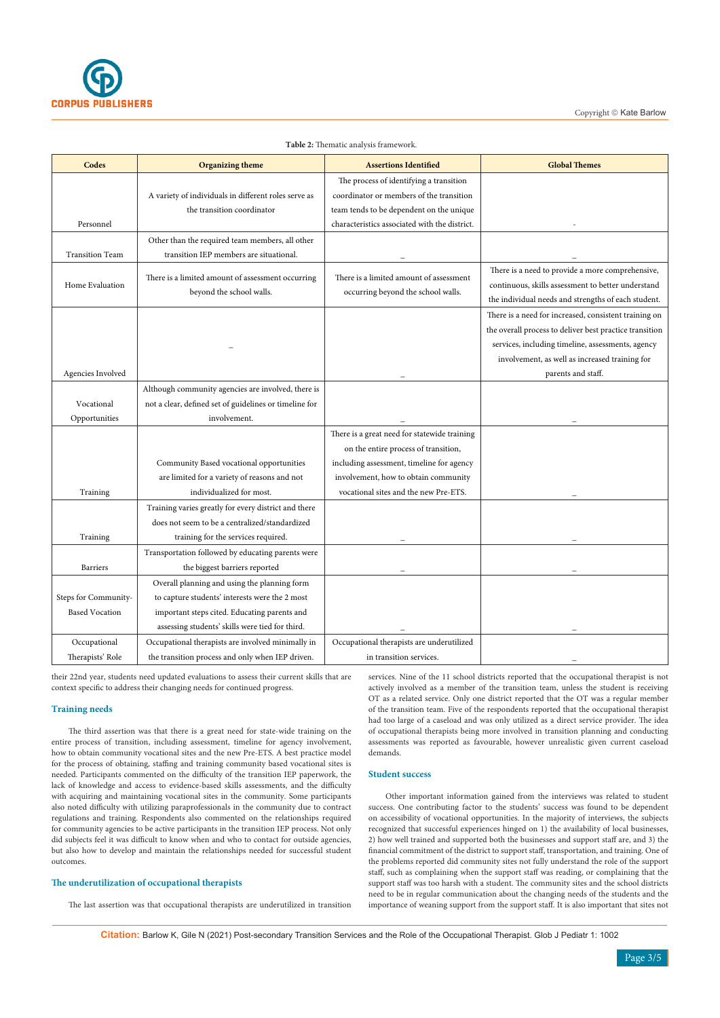

| Codes                  | <b>Organizing theme</b>                                | <b>Assertions Identified</b>                  | <b>Global Themes</b>                                    |
|------------------------|--------------------------------------------------------|-----------------------------------------------|---------------------------------------------------------|
|                        |                                                        | The process of identifying a transition       |                                                         |
|                        | A variety of individuals in different roles serve as   | coordinator or members of the transition      |                                                         |
|                        | the transition coordinator                             | team tends to be dependent on the unique      |                                                         |
| Personnel              |                                                        | characteristics associated with the district. |                                                         |
|                        | Other than the required team members, all other        |                                               |                                                         |
| <b>Transition Team</b> | transition IEP members are situational.                |                                               |                                                         |
| Home Evaluation        |                                                        |                                               | There is a need to provide a more comprehensive,        |
|                        | There is a limited amount of assessment occurring      | There is a limited amount of assessment       | continuous, skills assessment to better understand      |
|                        | beyond the school walls.                               | occurring beyond the school walls.            | the individual needs and strengths of each student.     |
|                        |                                                        |                                               | There is a need for increased, consistent training on   |
|                        |                                                        |                                               | the overall process to deliver best practice transition |
|                        |                                                        |                                               | services, including timeline, assessments, agency       |
|                        |                                                        |                                               | involvement, as well as increased training for          |
| Agencies Involved      |                                                        |                                               | parents and staff.                                      |
|                        | Although community agencies are involved, there is     |                                               |                                                         |
| Vocational             | not a clear, defined set of guidelines or timeline for |                                               |                                                         |
| Opportunities          | involvement.                                           |                                               |                                                         |
|                        |                                                        | There is a great need for statewide training  |                                                         |
|                        |                                                        | on the entire process of transition,          |                                                         |
|                        | Community Based vocational opportunities               | including assessment, timeline for agency     |                                                         |
|                        | are limited for a variety of reasons and not           | involvement, how to obtain community          |                                                         |
| Training               | individualized for most.                               | vocational sites and the new Pre-ETS.         |                                                         |
|                        | Training varies greatly for every district and there   |                                               |                                                         |
|                        | does not seem to be a centralized/standardized         |                                               |                                                         |
| Training               | training for the services required.                    |                                               |                                                         |
|                        | Transportation followed by educating parents were      |                                               |                                                         |
| <b>Barriers</b>        | the biggest barriers reported                          |                                               |                                                         |
|                        | Overall planning and using the planning form           |                                               |                                                         |
| Steps for Community-   | to capture students' interests were the 2 most         |                                               |                                                         |
| <b>Based Vocation</b>  | important steps cited. Educating parents and           |                                               |                                                         |
|                        | assessing students' skills were tied for third.        |                                               |                                                         |
| Occupational           | Occupational therapists are involved minimally in      | Occupational therapists are underutilized     |                                                         |
| Therapists' Role       | the transition process and only when IEP driven.       | in transition services.                       |                                                         |

#### **Table 2:** Thematic analysis framework.

their 22nd year, students need updated evaluations to assess their current skills that are context specific to address their changing needs for continued progress.

#### **Training needs**

The third assertion was that there is a great need for state-wide training on the entire process of transition, including assessment, timeline for agency involvement, how to obtain community vocational sites and the new Pre-ETS. A best practice model for the process of obtaining, staffing and training community based vocational sites is needed. Participants commented on the difficulty of the transition IEP paperwork, the lack of knowledge and access to evidence-based skills assessments, and the difficulty with acquiring and maintaining vocational sites in the community. Some participants also noted difficulty with utilizing paraprofessionals in the community due to contract regulations and training. Respondents also commented on the relationships required for community agencies to be active participants in the transition IEP process. Not only did subjects feel it was difficult to know when and who to contact for outside agencies, but also how to develop and maintain the relationships needed for successful student outcomes.

## **The underutilization of occupational therapists**

The last assertion was that occupational therapists are underutilized in transition

services. Nine of the 11 school districts reported that the occupational therapist is not actively involved as a member of the transition team, unless the student is receiving OT as a related service. Only one district reported that the OT was a regular member of the transition team. Five of the respondents reported that the occupational therapist had too large of a caseload and was only utilized as a direct service provider. The idea of occupational therapists being more involved in transition planning and conducting assessments was reported as favourable, however unrealistic given current caseload demands.

## **Student success**

Other important information gained from the interviews was related to student success. One contributing factor to the students' success was found to be dependent on accessibility of vocational opportunities. In the majority of interviews, the subjects recognized that successful experiences hinged on 1) the availability of local businesses, 2) how well trained and supported both the businesses and support staff are, and 3) the financial commitment of the district to support staff, transportation, and training. One of the problems reported did community sites not fully understand the role of the support staff, such as complaining when the support staff was reading, or complaining that the support staff was too harsh with a student. The community sites and the school districts need to be in regular communication about the changing needs of the students and the importance of weaning support from the support staff. It is also important that sites not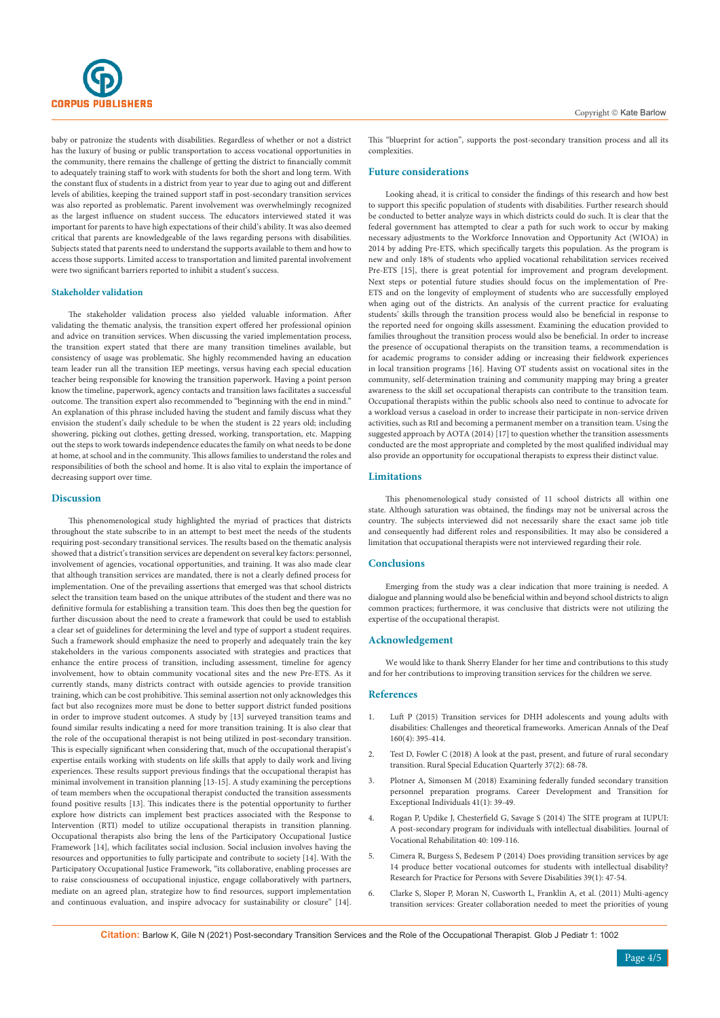

baby or patronize the students with disabilities. Regardless of whether or not a district has the luxury of busing or public transportation to access vocational opportunities in the community, there remains the challenge of getting the district to financially commit to adequately training staff to work with students for both the short and long term. With the constant flux of students in a district from year to year due to aging out and different levels of abilities, keeping the trained support staff in post-secondary transition services was also reported as problematic. Parent involvement was overwhelmingly recognized as the largest influence on student success. The educators interviewed stated it was important for parents to have high expectations of their child's ability. It was also deemed critical that parents are knowledgeable of the laws regarding persons with disabilities. Subjects stated that parents need to understand the supports available to them and how to access those supports. Limited access to transportation and limited parental involvement were two significant barriers reported to inhibit a student's success.

#### **Stakeholder validation**

The stakeholder validation process also yielded valuable information. After validating the thematic analysis, the transition expert offered her professional opinion and advice on transition services. When discussing the varied implementation process, the transition expert stated that there are many transition timelines available, but consistency of usage was problematic. She highly recommended having an education team leader run all the transition IEP meetings, versus having each special education teacher being responsible for knowing the transition paperwork. Having a point person know the timeline, paperwork, agency contacts and transition laws facilitates a successful outcome. The transition expert also recommended to "beginning with the end in mind." An explanation of this phrase included having the student and family discuss what they envision the student's daily schedule to be when the student is 22 years old; including showering, picking out clothes, getting dressed, working, transportation, etc. Mapping out the steps to work towards independence educates the family on what needs to be done at home, at school and in the community. This allows families to understand the roles and responsibilities of both the school and home. It is also vital to explain the importance of decreasing support over time.

#### **Discussion**

This phenomenological study highlighted the myriad of practices that districts throughout the state subscribe to in an attempt to best meet the needs of the students requiring post-secondary transitional services. The results based on the thematic analysis showed that a district's transition services are dependent on several key factors: personnel, involvement of agencies, vocational opportunities, and training. It was also made clear that although transition services are mandated, there is not a clearly defined process for implementation. One of the prevailing assertions that emerged was that school districts select the transition team based on the unique attributes of the student and there was no definitive formula for establishing a transition team. This does then beg the question for further discussion about the need to create a framework that could be used to establish a clear set of guidelines for determining the level and type of support a student requires. Such a framework should emphasize the need to properly and adequately train the key stakeholders in the various components associated with strategies and practices that enhance the entire process of transition, including assessment, timeline for agency involvement, how to obtain community vocational sites and the new Pre-ETS. As it currently stands, many districts contract with outside agencies to provide transition training, which can be cost prohibitive. This seminal assertion not only acknowledges this fact but also recognizes more must be done to better support district funded positions in order to improve student outcomes. A study by [13] surveyed transition teams and found similar results indicating a need for more transition training. It is also clear that the role of the occupational therapist is not being utilized in post-secondary transition. This is especially significant when considering that, much of the occupational therapist's expertise entails working with students on life skills that apply to daily work and living experiences. These results support previous findings that the occupational therapist has minimal involvement in transition planning [13-15]. A study examining the perceptions of team members when the occupational therapist conducted the transition assessments found positive results [13]. This indicates there is the potential opportunity to further explore how districts can implement best practices associated with the Response to Intervention (RTI) model to utilize occupational therapists in transition planning. Occupational therapists also bring the lens of the Participatory Occupational Justice Framework [14], which facilitates social inclusion. Social inclusion involves having the resources and opportunities to fully participate and contribute to society [14]. With the Participatory Occupational Justice Framework, "its collaborative, enabling processes are to raise consciousness of occupational injustice, engage collaboratively with partners, mediate on an agreed plan, strategize how to find resources, support implementation and continuous evaluation, and inspire advocacy for sustainability or closure" [14]. This "blueprint for action", supports the post-secondary transition process and all its complexities.

#### **Future considerations**

Looking ahead, it is critical to consider the findings of this research and how best to support this specific population of students with disabilities. Further research should be conducted to better analyze ways in which districts could do such. It is clear that the federal government has attempted to clear a path for such work to occur by making necessary adjustments to the Workforce Innovation and Opportunity Act (WIOA) in 2014 by adding Pre-ETS, which specifically targets this population. As the program is new and only 18% of students who applied vocational rehabilitation services received Pre-ETS [15], there is great potential for improvement and program development. Next steps or potential future studies should focus on the implementation of Pre-ETS and on the longevity of employment of students who are successfully employed when aging out of the districts. An analysis of the current practice for evaluating students' skills through the transition process would also be beneficial in response to the reported need for ongoing skills assessment. Examining the education provided to families throughout the transition process would also be beneficial. In order to increase the presence of occupational therapists on the transition teams, a recommendation is for academic programs to consider adding or increasing their fieldwork experiences in local transition programs [16]. Having OT students assist on vocational sites in the community, self-determination training and community mapping may bring a greater awareness to the skill set occupational therapists can contribute to the transition team. Occupational therapists within the public schools also need to continue to advocate for a workload versus a caseload in order to increase their participate in non-service driven activities, such as RtI and becoming a permanent member on a transition team. Using the suggested approach by AOTA (2014) [17] to question whether the transition assessments conducted are the most appropriate and completed by the most qualified individual may also provide an opportunity for occupational therapists to express their distinct value.

#### **Limitations**

This phenomenological study consisted of 11 school districts all within one state. Although saturation was obtained, the findings may not be universal across the country. The subjects interviewed did not necessarily share the exact same job title and consequently had different roles and responsibilities. It may also be considered a limitation that occupational therapists were not interviewed regarding their role.

## **Conclusions**

Emerging from the study was a clear indication that more training is needed. A dialogue and planning would also be beneficial within and beyond school districts to align common practices; furthermore, it was conclusive that districts were not utilizing the expertise of the occupational therapist.

#### **Acknowledgement**

We would like to thank Sherry Elander for her time and contributions to this study and for her contributions to improving transition services for the children we serve.

#### **References**

- 1. [Luft P \(2015\) Transition services for DHH adolescents and young adults with](https://pubmed.ncbi.nlm.nih.gov/26497077/)  [disabilities: Challenges and theoretical frameworks. American Annals of the Deaf](https://pubmed.ncbi.nlm.nih.gov/26497077/)  [160\(4\): 395-414.](https://pubmed.ncbi.nlm.nih.gov/26497077/)
- 2. [Test D, Fowler C \(2018\) A look at the past, present, and future of rural secondary](file:///F:\Journal%20data\GJP\Artcile%20details\2021\1.%20January\1.%20GJP-RA-21-102_W\Proof\1.%09https:\journals-sagepub-com.ezai.ez.cwmars.org:3243\doi\pdf\10.1177\8756870517751607)  [transition. Rural Special Education Quarterly 37\(2\): 68-78.](file:///F:\Journal%20data\GJP\Artcile%20details\2021\1.%20January\1.%20GJP-RA-21-102_W\Proof\1.%09https:\journals-sagepub-com.ezai.ez.cwmars.org:3243\doi\pdf\10.1177\8756870517751607)
- 3. [Plotner A, Simonsen M \(2018\) Examining federally funded secondary transition](http://dx.doi.org.ezai.ez.cwmars.org:3200/10.1177/2165143417742138)  [personnel preparation programs. Career Development and Transition for](http://dx.doi.org.ezai.ez.cwmars.org:3200/10.1177/2165143417742138)  [Exceptional Individuals 41\(1\): 39-49.](http://dx.doi.org.ezai.ez.cwmars.org:3200/10.1177/2165143417742138)
- 4. [Rogan P, Updike J, Chesterfield G, Savage S \(2014\) The SITE program at IUPUI:](https://content.iospress.com/articles/journal-of-vocational-rehabilitation/jvr673)  [A post-secondary program for individuals with intellectual disabilities. Journal of](https://content.iospress.com/articles/journal-of-vocational-rehabilitation/jvr673)  [Vocational Rehabilitation 40: 109-116.](https://content.iospress.com/articles/journal-of-vocational-rehabilitation/jvr673)
- 5. [Cimera R, Burgess S, Bedesem P \(2014\) Does providing transition services by age](https://doi.org/10.1177/1540796914534633)  [14 produce better vocational outcomes for students with intellectual disability?](https://doi.org/10.1177/1540796914534633)  [Research for Practice for Persons with Severe Disabilities 39\(1\): 47-54.](https://doi.org/10.1177/1540796914534633)
- 6. [Clarke S, Sloper P, Moran N, Cusworth L, Franklin A, et al. \(2011\) Multi-agency](https://www.emerald.com/insight/content/doi/10.1108/14769011111176734/full/html?skipTracking=true)  [transition services: Greater collaboration needed to meet the priorities of young](https://www.emerald.com/insight/content/doi/10.1108/14769011111176734/full/html?skipTracking=true)

**Citation:** Barlow K, Gile N (2021) Post-secondary Transition Services and the Role of the Occupational Therapist. Glob J Pediatr 1: 1002